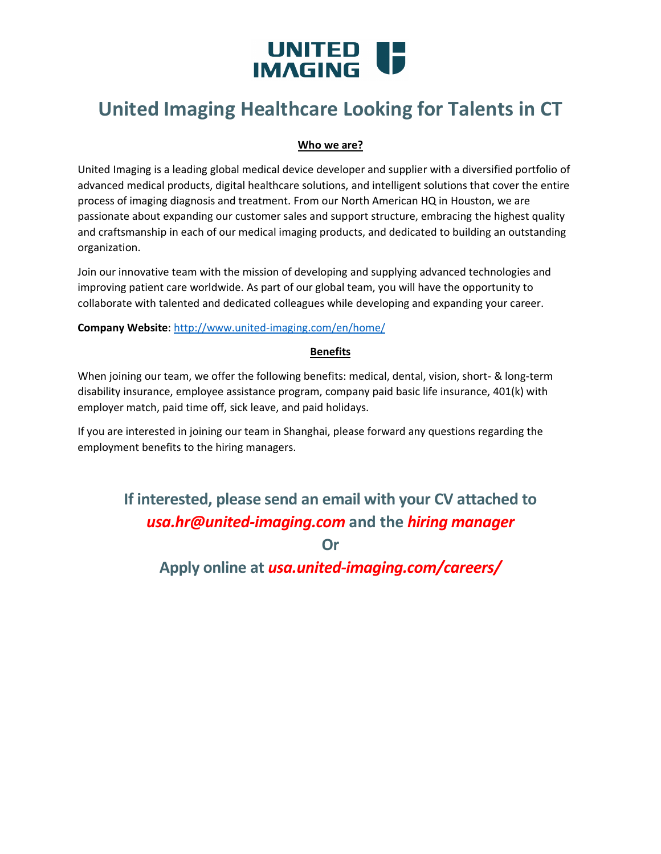# UNITED **IF**

## **United Imaging Healthcare Looking for Talents in CT**

#### **Who we are?**

United Imaging is a leading global medical device developer and supplier with a diversified portfolio of advanced medical products, digital healthcare solutions, and intelligent solutions that cover the entire process of imaging diagnosis and treatment. From our North American HQ in Houston, we are passionate about expanding our customer sales and support structure, embracing the highest quality and craftsmanship in each of our medical imaging products, and dedicated to building an outstanding organization.

Join our innovative team with the mission of developing and supplying advanced technologies and improving patient care worldwide. As part of our global team, you will have the opportunity to collaborate with talented and dedicated colleagues while developing and expanding your career.

#### **Company Website**:<http://www.united-imaging.com/en/home/>

#### **Benefits**

When joining our team, we offer the following benefits: medical, dental, vision, short- & long-term disability insurance, employee assistance program, company paid basic life insurance, 401(k) with employer match, paid time off, sick leave, and paid holidays.

If you are interested in joining our team in Shanghai, please forward any questions regarding the employment benefits to the hiring managers.

## **If interested, please send an email with your CV attached to**  *[usa.hr@united-imaging.com](mailto:usa.hr@united-imaging.com)* **and the** *hiring manager*

**Or**

**Apply online at** *usa.united-imaging.com/careers/*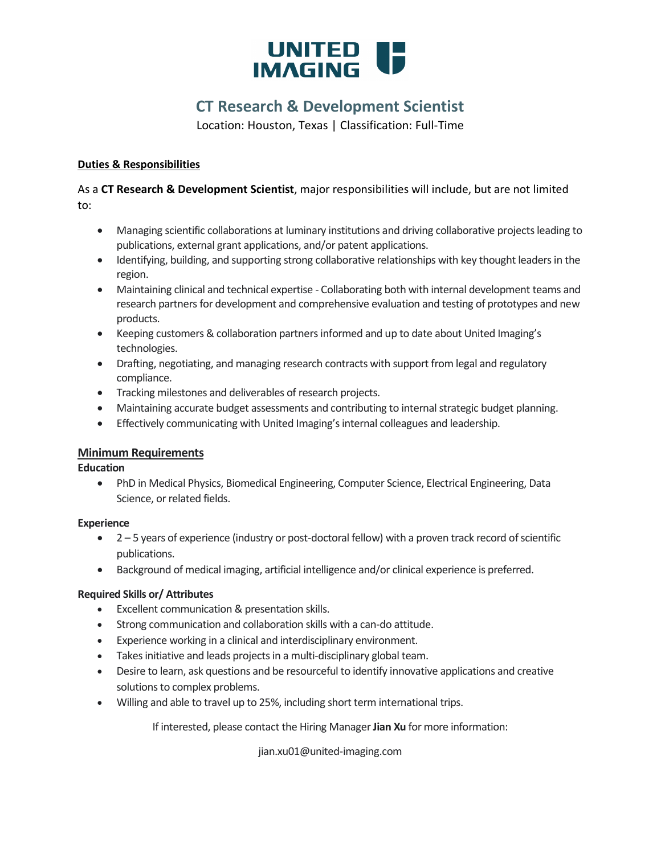

## **CT Research & Development Scientist**

Location: Houston, Texas | Classification: Full-Time

#### **Duties & Responsibilities**

As a **CT Research & Development Scientist**, major responsibilities will include, but are not limited to:

- Managing scientific collaborations at luminary institutions and driving collaborative projects leading to publications, external grant applications, and/or patent applications.
- Identifying, building, and supporting strong collaborative relationships with key thought leaders in the region.
- Maintaining clinical and technical expertise Collaborating both with internal development teams and research partners for development and comprehensive evaluation and testing of prototypes and new products.
- Keeping customers & collaboration partners informed and up to date about United Imaging's technologies.
- Drafting, negotiating, and managing research contracts with support from legal and regulatory compliance.
- Tracking milestones and deliverables of research projects.
- Maintaining accurate budget assessments and contributing to internal strategic budget planning.
- Effectively communicating with United Imaging's internal colleagues and leadership.

#### **Minimum Requirements**

#### **Education**

• PhD in Medical Physics, Biomedical Engineering, Computer Science, Electrical Engineering, Data Science, or related fields.

#### **Experience**

- 2 5 years of experience (industry or post-doctoral fellow) with a proven track record of scientific publications.
- Background of medical imaging, artificial intelligence and/or clinical experience is preferred.

#### **Required Skills or/ Attributes**

- Excellent communication & presentation skills.
- Strong communication and collaboration skills with a can-do attitude.
- Experience working in a clinical and interdisciplinary environment.
- Takes initiative and leads projects in a multi-disciplinary global team.
- Desire to learn, ask questions and be resourceful to identify innovative applications and creative solutions to complex problems.
- Willing and able to travel up to 25%, including short term international trips.

If interested, please contact the Hiring Manager **Jian Xu** for more information:

jian.xu01@united-imaging.com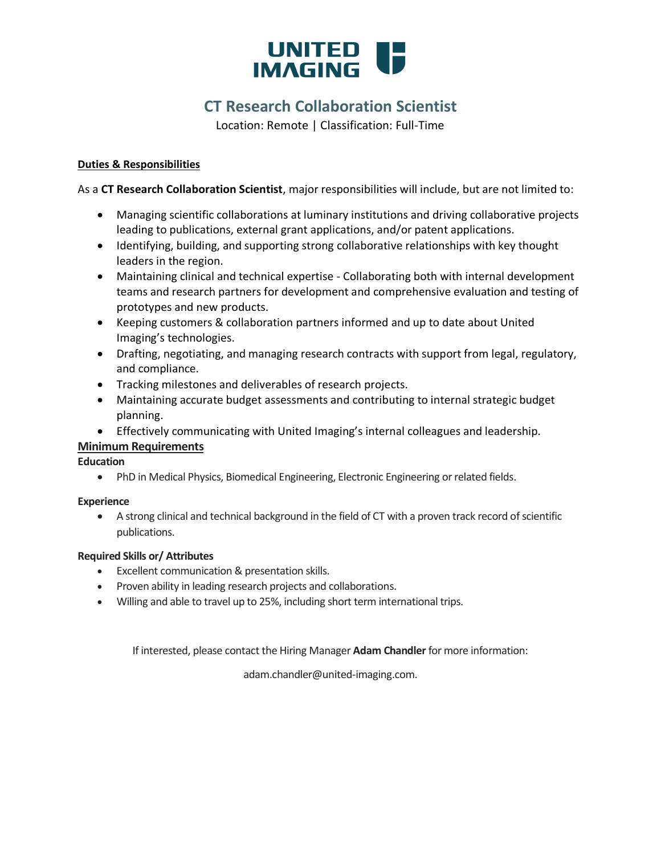## UNITED **IF**

## **CT Research Collaboration Scientist**

Location: Remote | Classification: Full-Time

#### **Duties & Responsibilities**

As a **CT Research Collaboration Scientist**, major responsibilities will include, but are not limited to:

- Managing scientific collaborations at luminary institutions and driving collaborative projects leading to publications, external grant applications, and/or patent applications.
- Identifying, building, and supporting strong collaborative relationships with key thought leaders in the region.
- Maintaining clinical and technical expertise Collaborating both with internal development teams and research partners for development and comprehensive evaluation and testing of prototypes and new products.
- Keeping customers & collaboration partners informed and up to date about United Imaging's technologies.
- Drafting, negotiating, and managing research contracts with support from legal, regulatory, and compliance.
- Tracking milestones and deliverables of research projects.
- Maintaining accurate budget assessments and contributing to internal strategic budget planning.
- Effectively communicating with United Imaging's internal colleagues and leadership.

#### **Minimum Requirements**

**Education**

• PhD in Medical Physics, Biomedical Engineering, Electronic Engineering or related fields.

#### **Experience**

• A strong clinical and technical background in the field of CT with a proven track record of scientific publications.

#### **Required Skills or/ Attributes**

- Excellent communication & presentation skills.
- Proven ability in leading research projects and collaborations.
- Willing and able to travel up to 25%, including short term international trips.

If interested, please contact the Hiring Manager **Adam Chandler** for more information:

adam.chandler@united-imaging.com.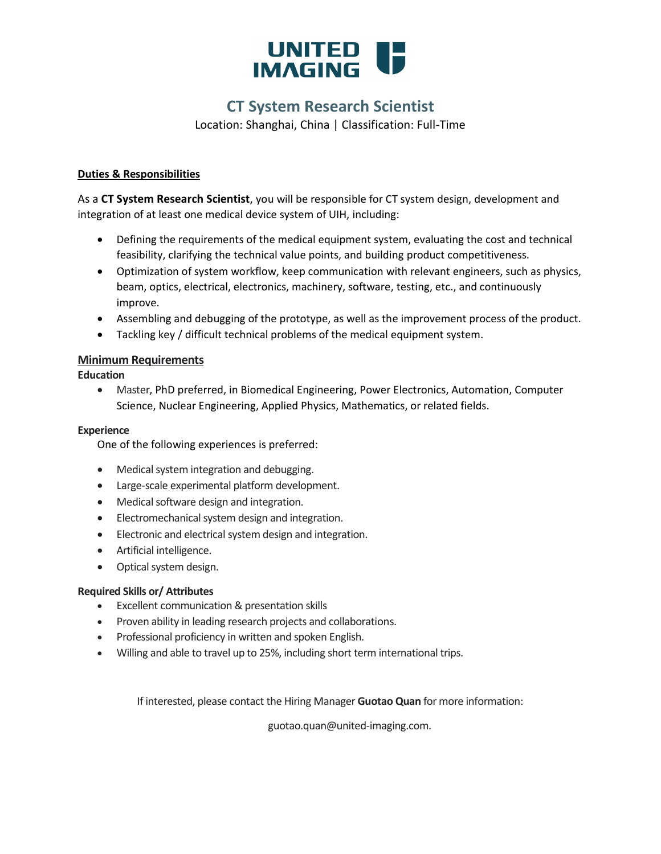

### **CT System Research Scientist**

Location: Shanghai, China | Classification: Full-Time

#### **Duties & Responsibilities**

As a **CT System Research Scientist**, you will be responsible for CT system design, development and integration of at least one medical device system of UIH, including:

- Defining the requirements of the medical equipment system, evaluating the cost and technical feasibility, clarifying the technical value points, and building product competitiveness.
- Optimization of system workflow, keep communication with relevant engineers, such as physics, beam, optics, electrical, electronics, machinery, software, testing, etc., and continuously improve.
- Assembling and debugging of the prototype, as well as the improvement process of the product.
- Tackling key / difficult technical problems of the medical equipment system.

#### **Minimum Requirements**

#### **Education**

• Master, PhD preferred, in Biomedical Engineering, Power Electronics, Automation, Computer Science, Nuclear Engineering, Applied Physics, Mathematics, or related fields.

#### **Experience**

One of the following experiences is preferred:

- Medical system integration and debugging.
- Large-scale experimental platform development.
- Medical software design and integration.
- Electromechanical system design and integration.
- Electronic and electrical system design and integration.
- Artificial intelligence.
- Optical system design.

#### **Required Skills or/ Attributes**

- Excellent communication & presentation skills
- Proven ability in leading research projects and collaborations.
- Professional proficiency in written and spoken English.
- Willing and able to travel up to 25%, including short term international trips.

If interested, please contact the Hiring Manager **Guotao Quan** for more information:

guotao.quan@united-imaging.com.